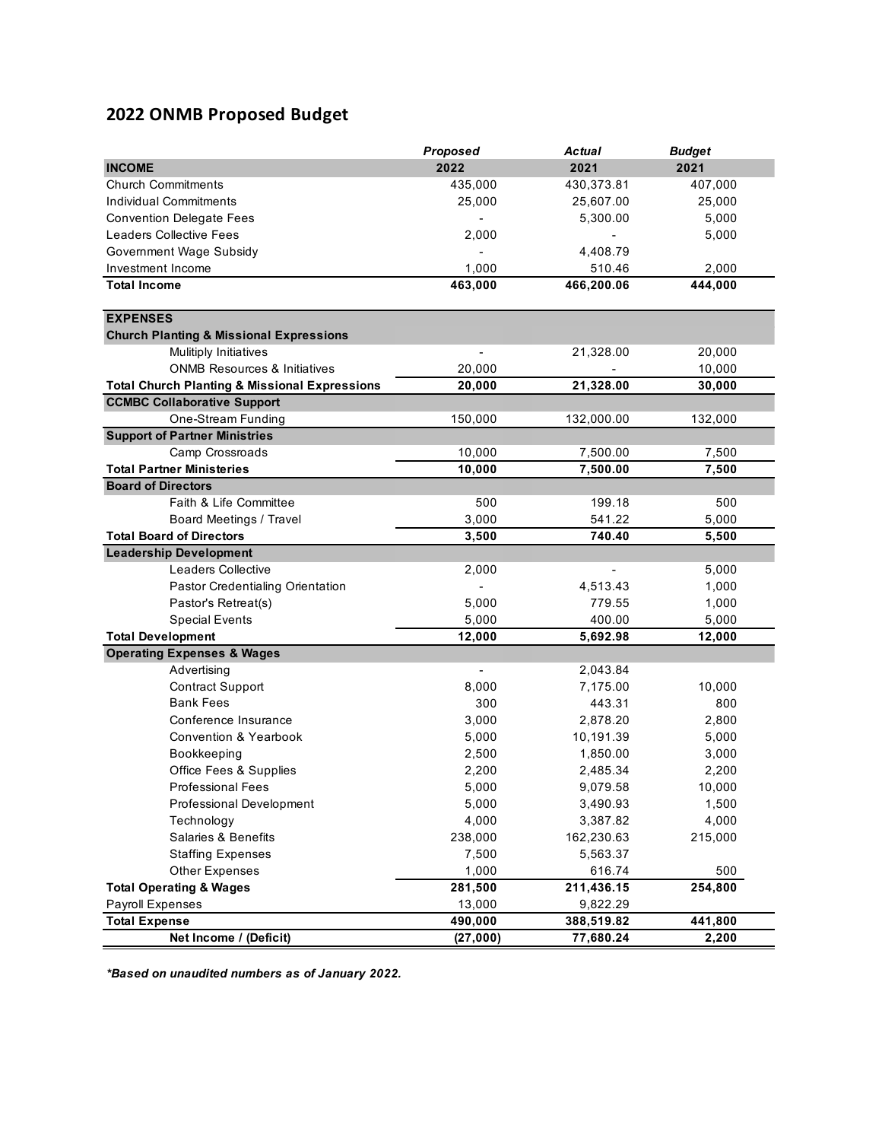## **2022 ONMB Proposed Budget**

|                                                          | Proposed | <b>Actual</b>  | <b>Budget</b> |
|----------------------------------------------------------|----------|----------------|---------------|
| <b>INCOME</b>                                            | 2022     | 2021           | 2021          |
| <b>Church Commitments</b>                                | 435,000  | 430,373.81     | 407,000       |
| Individual Commitments                                   | 25,000   | 25,607.00      | 25,000        |
| <b>Convention Delegate Fees</b>                          |          | 5,300.00       | 5,000         |
| <b>Leaders Collective Fees</b>                           | 2,000    | $\blacksquare$ | 5,000         |
| Government Wage Subsidy                                  |          | 4,408.79       |               |
| Investment Income                                        | 1,000    | 510.46         | 2,000         |
| <b>Total Income</b>                                      | 463,000  | 466,200.06     | 444,000       |
|                                                          |          |                |               |
| <b>EXPENSES</b>                                          |          |                |               |
| <b>Church Planting &amp; Missional Expressions</b>       |          |                |               |
| <b>Mulitiply Initiatives</b>                             |          | 21,328.00      | 20,000        |
| <b>ONMB Resources &amp; Initiatives</b>                  | 20,000   |                | 10,000        |
| <b>Total Church Planting &amp; Missional Expressions</b> | 20,000   | 21,328.00      | 30,000        |
| <b>CCMBC Collaborative Support</b>                       |          |                |               |
| One-Stream Funding                                       | 150,000  | 132,000.00     | 132,000       |
| <b>Support of Partner Ministries</b>                     |          |                |               |
| Camp Crossroads                                          | 10,000   | 7,500.00       | 7,500         |
| <b>Total Partner Ministeries</b>                         | 10,000   | 7,500.00       | 7,500         |
| <b>Board of Directors</b>                                |          |                |               |
| Faith & Life Committee                                   | 500      | 199.18         | 500           |
| <b>Board Meetings / Travel</b>                           | 3,000    | 541.22         | 5,000         |
| <b>Total Board of Directors</b>                          | 3,500    | 740.40         | 5,500         |
| <b>Leadership Development</b>                            |          |                |               |
| Leaders Collective                                       | 2,000    |                | 5,000         |
| Pastor Credentialing Orientation                         |          | 4,513.43       | 1,000         |
| Pastor's Retreat(s)                                      | 5,000    | 779.55         | 1,000         |
| <b>Special Events</b>                                    | 5,000    | 400.00         | 5,000         |
| <b>Total Development</b>                                 | 12,000   | 5,692.98       | 12,000        |
| <b>Operating Expenses &amp; Wages</b>                    |          |                |               |
| Advertising                                              |          | 2,043.84       |               |
| <b>Contract Support</b>                                  | 8,000    | 7,175.00       | 10,000        |
| <b>Bank Fees</b>                                         | 300      | 443.31         | 800           |
| Conference Insurance                                     | 3,000    | 2,878.20       | 2,800         |
| <b>Convention &amp; Yearbook</b>                         | 5,000    | 10,191.39      | 5,000         |
| Bookkeeping                                              | 2,500    | 1,850.00       | 3,000         |
| Office Fees & Supplies                                   | 2,200    | 2,485.34       | 2,200         |
| Professional Fees                                        | 5,000    | 9,079.58       | 10,000        |
| Professional Development                                 | 5,000    | 3,490.93       | 1,500         |
| Technology                                               | 4,000    | 3,387.82       | 4,000         |
| <b>Salaries &amp; Benefits</b>                           | 238,000  | 162,230.63     | 215,000       |
| <b>Staffing Expenses</b>                                 | 7,500    | 5,563.37       |               |
| Other Expenses                                           | 1,000    | 616.74         | 500           |
| <b>Total Operating &amp; Wages</b>                       | 281,500  | 211,436.15     | 254,800       |
| Payroll Expenses                                         | 13,000   | 9,822.29       |               |
| <b>Total Expense</b>                                     | 490,000  | 388,519.82     | 441,800       |
| Net Income / (Deficit)                                   | (27,000) | 77,680.24      | 2,200         |

*\*Based on unaudited numbers as of January 2022.*